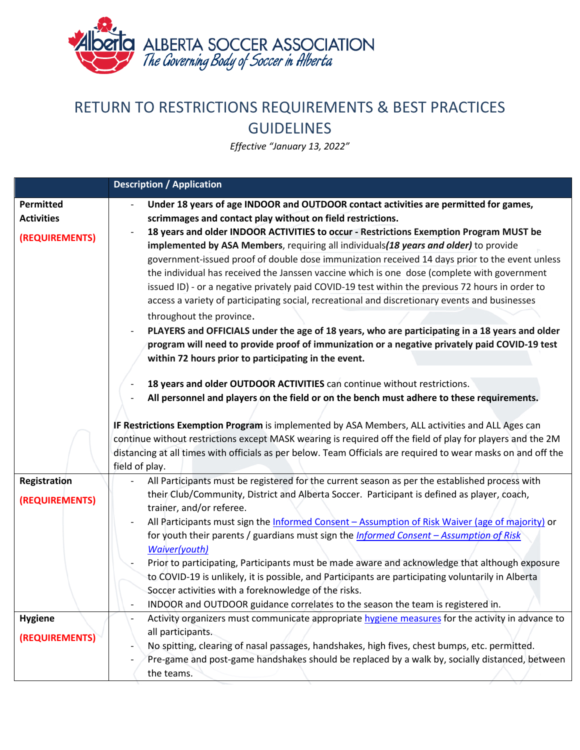

## RETURN TO RESTRICTIONS REQUIREMENTS & BEST PRACTICES GUIDELINES

*Effective "January 13, 2022"*

|                                                         | <b>Description / Application</b>                                                                                                                                                                                                                                                                                                                                                                                                                                                                                                                                                                                                                                                                                                                                                                                                                                                                                                                                                                                                   |
|---------------------------------------------------------|------------------------------------------------------------------------------------------------------------------------------------------------------------------------------------------------------------------------------------------------------------------------------------------------------------------------------------------------------------------------------------------------------------------------------------------------------------------------------------------------------------------------------------------------------------------------------------------------------------------------------------------------------------------------------------------------------------------------------------------------------------------------------------------------------------------------------------------------------------------------------------------------------------------------------------------------------------------------------------------------------------------------------------|
| <b>Permitted</b><br><b>Activities</b><br>(REQUIREMENTS) | Under 18 years of age INDOOR and OUTDOOR contact activities are permitted for games,<br>scrimmages and contact play without on field restrictions.<br>18 years and older INDOOR ACTIVITIES to occur - Restrictions Exemption Program MUST be<br>implemented by ASA Members, requiring all individuals(18 years and older) to provide<br>government-issued proof of double dose immunization received 14 days prior to the event unless<br>the individual has received the Janssen vaccine which is one dose (complete with government<br>issued ID) - or a negative privately paid COVID-19 test within the previous 72 hours in order to<br>access a variety of participating social, recreational and discretionary events and businesses<br>throughout the province.<br>PLAYERS and OFFICIALS under the age of 18 years, who are participating in a 18 years and older<br>program will need to provide proof of immunization or a negative privately paid COVID-19 test<br>within 72 hours prior to participating in the event. |
|                                                         | 18 years and older OUTDOOR ACTIVITIES can continue without restrictions.<br>All personnel and players on the field or on the bench must adhere to these requirements.<br>IF Restrictions Exemption Program is implemented by ASA Members, ALL activities and ALL Ages can<br>continue without restrictions except MASK wearing is required off the field of play for players and the 2M<br>distancing at all times with officials as per below. Team Officials are required to wear masks on and off the<br>field of play.                                                                                                                                                                                                                                                                                                                                                                                                                                                                                                         |
| Registration<br>(REQUIREMENTS)                          | All Participants must be registered for the current season as per the established process with<br>their Club/Community, District and Alberta Soccer. Participant is defined as player, coach,<br>trainer, and/or referee.<br>All Participants must sign the Informed Consent - Assumption of Risk Waiver (age of majority) or<br>for youth their parents / guardians must sign the <i>Informed Consent - Assumption of Risk</i><br>Waiver(youth)<br>Prior to participating, Participants must be made aware and acknowledge that although exposure<br>to COVID-19 is unlikely, it is possible, and Participants are participating voluntarily in Alberta<br>Soccer activities with a foreknowledge of the risks.<br>INDOOR and OUTDOOR guidance correlates to the season the team is registered in.                                                                                                                                                                                                                                |
| <b>Hygiene</b><br>(REQUIREMENTS)                        | Activity organizers must communicate appropriate hygiene measures for the activity in advance to<br>all participants.<br>No spitting, clearing of nasal passages, handshakes, high fives, chest bumps, etc. permitted.<br>Pre-game and post-game handshakes should be replaced by a walk by, socially distanced, between<br>the teams.                                                                                                                                                                                                                                                                                                                                                                                                                                                                                                                                                                                                                                                                                             |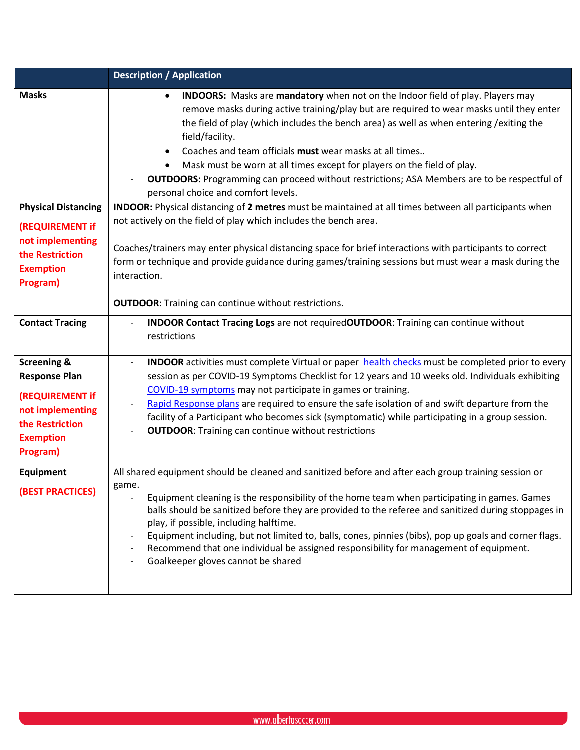|                                                                                                                                          | <b>Description / Application</b>                                                                                                                                                                                                                                                                                                                                                                                                                                                                                                                                                                                                  |
|------------------------------------------------------------------------------------------------------------------------------------------|-----------------------------------------------------------------------------------------------------------------------------------------------------------------------------------------------------------------------------------------------------------------------------------------------------------------------------------------------------------------------------------------------------------------------------------------------------------------------------------------------------------------------------------------------------------------------------------------------------------------------------------|
| <b>Masks</b>                                                                                                                             | <b>INDOORS:</b> Masks are <b>mandatory</b> when not on the Indoor field of play. Players may<br>$\bullet$<br>remove masks during active training/play but are required to wear masks until they enter<br>the field of play (which includes the bench area) as well as when entering / exiting the<br>field/facility.<br>Coaches and team officials must wear masks at all times<br>$\bullet$<br>Mask must be worn at all times except for players on the field of play.<br>$\bullet$<br><b>OUTDOORS:</b> Programming can proceed without restrictions; ASA Members are to be respectful of<br>personal choice and comfort levels. |
| <b>Physical Distancing</b>                                                                                                               | INDOOR: Physical distancing of 2 metres must be maintained at all times between all participants when<br>not actively on the field of play which includes the bench area.                                                                                                                                                                                                                                                                                                                                                                                                                                                         |
| (REQUIREMENT if<br>not implementing<br>the Restriction<br><b>Exemption</b><br>Program)                                                   | Coaches/trainers may enter physical distancing space for <b>brief interactions</b> with participants to correct<br>form or technique and provide guidance during games/training sessions but must wear a mask during the<br>interaction.                                                                                                                                                                                                                                                                                                                                                                                          |
|                                                                                                                                          | <b>OUTDOOR:</b> Training can continue without restrictions.                                                                                                                                                                                                                                                                                                                                                                                                                                                                                                                                                                       |
| <b>Contact Tracing</b>                                                                                                                   | INDOOR Contact Tracing Logs are not requiredOUTDOOR: Training can continue without<br>restrictions                                                                                                                                                                                                                                                                                                                                                                                                                                                                                                                                |
| <b>Screening &amp;</b><br><b>Response Plan</b><br>(REQUIREMENT if<br>not implementing<br>the Restriction<br><b>Exemption</b><br>Program) | <b>INDOOR</b> activities must complete Virtual or paper health checks must be completed prior to every<br>$\overline{\phantom{a}}$<br>session as per COVID-19 Symptoms Checklist for 12 years and 10 weeks old. Individuals exhibiting<br>COVID-19 symptoms may not participate in games or training.<br>Rapid Response plans are required to ensure the safe isolation of and swift departure from the<br>facility of a Participant who becomes sick (symptomatic) while participating in a group session.<br><b>OUTDOOR:</b> Training can continue without restrictions                                                         |
| Equipment<br><b>(BEST PRACTICES)</b>                                                                                                     | All shared equipment should be cleaned and sanitized before and after each group training session or<br>game.<br>Equipment cleaning is the responsibility of the home team when participating in games. Games<br>balls should be sanitized before they are provided to the referee and sanitized during stoppages in<br>play, if possible, including halftime.<br>Equipment including, but not limited to, balls, cones, pinnies (bibs), pop up goals and corner flags.<br>Recommend that one individual be assigned responsibility for management of equipment.<br>Goalkeeper gloves cannot be shared                            |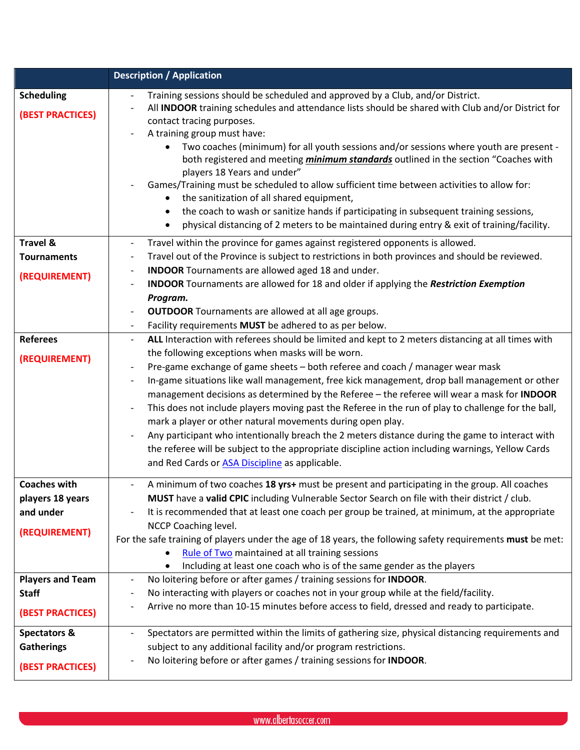|                                              | <b>Description / Application</b>                                                                                                                                                                                                                                                                                                                                                                                                                                                                                                                                                                                                                                                                                                                                                                                                |
|----------------------------------------------|---------------------------------------------------------------------------------------------------------------------------------------------------------------------------------------------------------------------------------------------------------------------------------------------------------------------------------------------------------------------------------------------------------------------------------------------------------------------------------------------------------------------------------------------------------------------------------------------------------------------------------------------------------------------------------------------------------------------------------------------------------------------------------------------------------------------------------|
| <b>Scheduling</b><br><b>(BEST PRACTICES)</b> | Training sessions should be scheduled and approved by a Club, and/or District.<br>All INDOOR training schedules and attendance lists should be shared with Club and/or District for<br>contact tracing purposes.<br>A training group must have:<br>Two coaches (minimum) for all youth sessions and/or sessions where youth are present -<br>both registered and meeting <i>minimum standards</i> outlined in the section "Coaches with<br>players 18 Years and under"<br>Games/Training must be scheduled to allow sufficient time between activities to allow for:<br>the sanitization of all shared equipment,<br>٠<br>the coach to wash or sanitize hands if participating in subsequent training sessions,<br>٠<br>physical distancing of 2 meters to be maintained during entry & exit of training/facility.<br>$\bullet$ |
| <b>Travel &amp;</b>                          | Travel within the province for games against registered opponents is allowed.<br>$\overline{\phantom{a}}$                                                                                                                                                                                                                                                                                                                                                                                                                                                                                                                                                                                                                                                                                                                       |
| <b>Tournaments</b>                           | Travel out of the Province is subject to restrictions in both provinces and should be reviewed.<br>$\overline{a}$                                                                                                                                                                                                                                                                                                                                                                                                                                                                                                                                                                                                                                                                                                               |
| (REQUIREMENT)                                | <b>INDOOR</b> Tournaments are allowed aged 18 and under.                                                                                                                                                                                                                                                                                                                                                                                                                                                                                                                                                                                                                                                                                                                                                                        |
|                                              | <b>INDOOR</b> Tournaments are allowed for 18 and older if applying the Restriction Exemption                                                                                                                                                                                                                                                                                                                                                                                                                                                                                                                                                                                                                                                                                                                                    |
|                                              | Program.<br><b>OUTDOOR</b> Tournaments are allowed at all age groups.                                                                                                                                                                                                                                                                                                                                                                                                                                                                                                                                                                                                                                                                                                                                                           |
|                                              | Facility requirements MUST be adhered to as per below.<br>$\overline{\phantom{a}}$                                                                                                                                                                                                                                                                                                                                                                                                                                                                                                                                                                                                                                                                                                                                              |
| <b>Referees</b>                              | ALL Interaction with referees should be limited and kept to 2 meters distancing at all times with<br>$\overline{\phantom{a}}$                                                                                                                                                                                                                                                                                                                                                                                                                                                                                                                                                                                                                                                                                                   |
|                                              | the following exceptions when masks will be worn.                                                                                                                                                                                                                                                                                                                                                                                                                                                                                                                                                                                                                                                                                                                                                                               |
| (REQUIREMENT)                                | Pre-game exchange of game sheets - both referee and coach / manager wear mask                                                                                                                                                                                                                                                                                                                                                                                                                                                                                                                                                                                                                                                                                                                                                   |
|                                              | In-game situations like wall management, free kick management, drop ball management or other                                                                                                                                                                                                                                                                                                                                                                                                                                                                                                                                                                                                                                                                                                                                    |
|                                              | management decisions as determined by the Referee - the referee will wear a mask for INDOOR                                                                                                                                                                                                                                                                                                                                                                                                                                                                                                                                                                                                                                                                                                                                     |
|                                              | This does not include players moving past the Referee in the run of play to challenge for the ball,<br>$\overline{\phantom{a}}$                                                                                                                                                                                                                                                                                                                                                                                                                                                                                                                                                                                                                                                                                                 |
|                                              | mark a player or other natural movements during open play.                                                                                                                                                                                                                                                                                                                                                                                                                                                                                                                                                                                                                                                                                                                                                                      |
|                                              | Any participant who intentionally breach the 2 meters distance during the game to interact with                                                                                                                                                                                                                                                                                                                                                                                                                                                                                                                                                                                                                                                                                                                                 |
|                                              | the referee will be subject to the appropriate discipline action including warnings, Yellow Cards<br>and Red Cards or <b>ASA Discipline</b> as applicable.                                                                                                                                                                                                                                                                                                                                                                                                                                                                                                                                                                                                                                                                      |
|                                              |                                                                                                                                                                                                                                                                                                                                                                                                                                                                                                                                                                                                                                                                                                                                                                                                                                 |
| <b>Coaches with</b>                          | A minimum of two coaches 18 yrs+ must be present and participating in the group. All coaches                                                                                                                                                                                                                                                                                                                                                                                                                                                                                                                                                                                                                                                                                                                                    |
| players 18 years                             | MUST have a valid CPIC including Vulnerable Sector Search on file with their district / club.                                                                                                                                                                                                                                                                                                                                                                                                                                                                                                                                                                                                                                                                                                                                   |
| and under                                    | It is recommended that at least one coach per group be trained, at minimum, at the appropriate                                                                                                                                                                                                                                                                                                                                                                                                                                                                                                                                                                                                                                                                                                                                  |
| (REQUIREMENT)                                | NCCP Coaching level.<br>For the safe training of players under the age of 18 years, the following safety requirements must be met:                                                                                                                                                                                                                                                                                                                                                                                                                                                                                                                                                                                                                                                                                              |
|                                              | Rule of Two maintained at all training sessions<br>$\bullet$                                                                                                                                                                                                                                                                                                                                                                                                                                                                                                                                                                                                                                                                                                                                                                    |
|                                              | Including at least one coach who is of the same gender as the players<br>$\bullet$                                                                                                                                                                                                                                                                                                                                                                                                                                                                                                                                                                                                                                                                                                                                              |
| <b>Players and Team</b>                      | No loitering before or after games / training sessions for INDOOR.<br>$\overline{\phantom{a}}$                                                                                                                                                                                                                                                                                                                                                                                                                                                                                                                                                                                                                                                                                                                                  |
| <b>Staff</b>                                 | No interacting with players or coaches not in your group while at the field/facility.                                                                                                                                                                                                                                                                                                                                                                                                                                                                                                                                                                                                                                                                                                                                           |
| <b>(BEST PRACTICES)</b>                      | Arrive no more than 10-15 minutes before access to field, dressed and ready to participate.                                                                                                                                                                                                                                                                                                                                                                                                                                                                                                                                                                                                                                                                                                                                     |
| <b>Spectators &amp;</b>                      | Spectators are permitted within the limits of gathering size, physical distancing requirements and                                                                                                                                                                                                                                                                                                                                                                                                                                                                                                                                                                                                                                                                                                                              |
| <b>Gatherings</b>                            | subject to any additional facility and/or program restrictions.                                                                                                                                                                                                                                                                                                                                                                                                                                                                                                                                                                                                                                                                                                                                                                 |
| <b>(BEST PRACTICES)</b>                      | No loitering before or after games / training sessions for INDOOR.                                                                                                                                                                                                                                                                                                                                                                                                                                                                                                                                                                                                                                                                                                                                                              |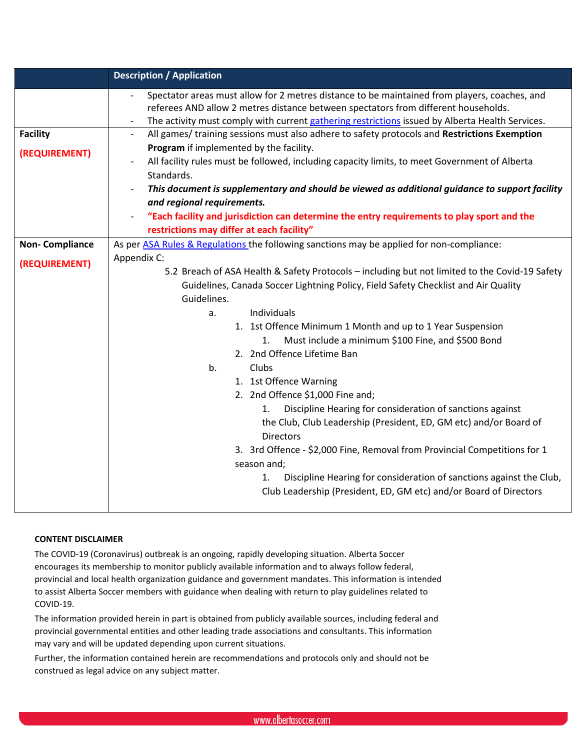|                       | <b>Description / Application</b>                                                                                                                                                                                                                                                                                  |
|-----------------------|-------------------------------------------------------------------------------------------------------------------------------------------------------------------------------------------------------------------------------------------------------------------------------------------------------------------|
|                       | Spectator areas must allow for 2 metres distance to be maintained from players, coaches, and<br>referees AND allow 2 metres distance between spectators from different households.<br>The activity must comply with current gathering restrictions issued by Alberta Health Services.<br>$\overline{\phantom{a}}$ |
| <b>Facility</b>       | All games/ training sessions must also adhere to safety protocols and Restrictions Exemption<br>$\overline{\phantom{a}}$                                                                                                                                                                                          |
| (REQUIREMENT)         | Program if implemented by the facility.                                                                                                                                                                                                                                                                           |
|                       | All facility rules must be followed, including capacity limits, to meet Government of Alberta                                                                                                                                                                                                                     |
|                       | Standards.                                                                                                                                                                                                                                                                                                        |
|                       | This document is supplementary and should be viewed as additional guidance to support facility                                                                                                                                                                                                                    |
|                       | and regional requirements.                                                                                                                                                                                                                                                                                        |
|                       | "Each facility and jurisdiction can determine the entry requirements to play sport and the                                                                                                                                                                                                                        |
|                       | restrictions may differ at each facility"                                                                                                                                                                                                                                                                         |
| <b>Non-Compliance</b> | As per ASA Rules & Regulations the following sanctions may be applied for non-compliance:                                                                                                                                                                                                                         |
| (REQUIREMENT)         | Appendix C:<br>5.2 Breach of ASA Health & Safety Protocols - including but not limited to the Covid-19 Safety                                                                                                                                                                                                     |
|                       | Guidelines, Canada Soccer Lightning Policy, Field Safety Checklist and Air Quality                                                                                                                                                                                                                                |
|                       | Guidelines.                                                                                                                                                                                                                                                                                                       |
|                       | Individuals<br>a.                                                                                                                                                                                                                                                                                                 |
|                       | 1. 1st Offence Minimum 1 Month and up to 1 Year Suspension                                                                                                                                                                                                                                                        |
|                       | Must include a minimum \$100 Fine, and \$500 Bond<br>1.                                                                                                                                                                                                                                                           |
|                       | 2. 2nd Offence Lifetime Ban                                                                                                                                                                                                                                                                                       |
|                       | b.<br>Clubs                                                                                                                                                                                                                                                                                                       |
|                       | 1. 1st Offence Warning                                                                                                                                                                                                                                                                                            |
|                       | 2. 2nd Offence \$1,000 Fine and;                                                                                                                                                                                                                                                                                  |
|                       | Discipline Hearing for consideration of sanctions against<br>1.                                                                                                                                                                                                                                                   |
|                       | the Club, Club Leadership (President, ED, GM etc) and/or Board of                                                                                                                                                                                                                                                 |
|                       | <b>Directors</b>                                                                                                                                                                                                                                                                                                  |
|                       | 3. 3rd Offence - \$2,000 Fine, Removal from Provincial Competitions for 1                                                                                                                                                                                                                                         |
|                       | season and;                                                                                                                                                                                                                                                                                                       |
|                       | Discipline Hearing for consideration of sanctions against the Club,<br>1.                                                                                                                                                                                                                                         |
|                       | Club Leadership (President, ED, GM etc) and/or Board of Directors                                                                                                                                                                                                                                                 |
|                       |                                                                                                                                                                                                                                                                                                                   |

## **CONTENT DISCLAIMER**

The COVID-19 (Coronavirus) outbreak is an ongoing, rapidly developing situation. Alberta Soccer encourages its membership to monitor publicly available information and to always follow federal, provincial and local health organization guidance and government mandates. This information is intended to assist Alberta Soccer members with guidance when dealing with return to play guidelines related to COVID-19.

The information provided herein in part is obtained from publicly available sources, including federal and provincial governmental entities and other leading trade associations and consultants. This information may vary and will be updated depending upon current situations.

Further, the information contained herein are recommendations and protocols only and should not be construed as legal advice on any subject matter.